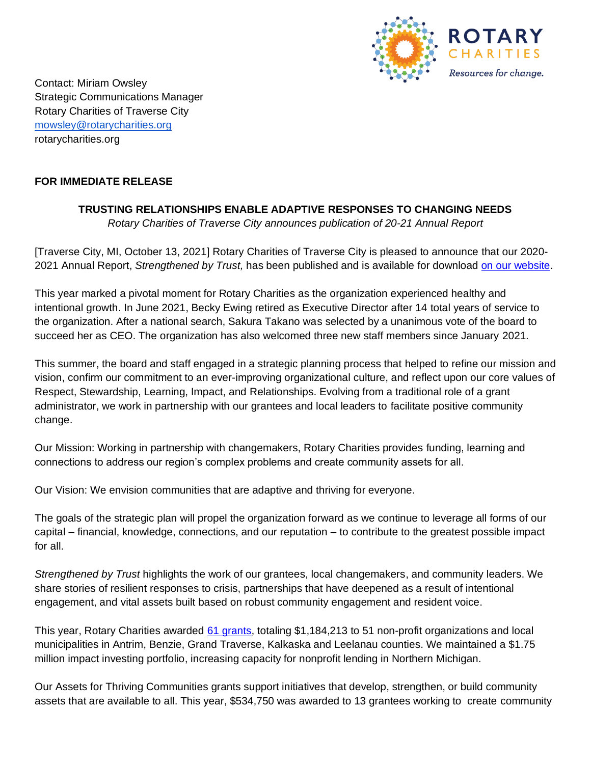

Contact: Miriam Owsley Strategic Communications Manager Rotary Charities of Traverse City [mowsley@rotarycharities.org](mailto:mowsley@rotarycharities.org) rotarycharities.org

## **FOR IMMEDIATE RELEASE**

## **TRUSTING RELATIONSHIPS ENABLE ADAPTIVE RESPONSES TO CHANGING NEEDS**

*Rotary Charities of Traverse City announces publication of 20-21 Annual Report*

[Traverse City, MI, October 13, 2021] Rotary Charities of Traverse City is pleased to announce that our 2020- 2021 Annual Report, *Strengthened by Trust,* has been published and is available for download [on our website.](http://rotarycharities.org/20-21-annual-report)

This year marked a pivotal moment for Rotary Charities as the organization experienced healthy and intentional growth. In June 2021, Becky Ewing retired as Executive Director after 14 total years of service to the organization. After a national search, Sakura Takano was selected by a unanimous vote of the board to succeed her as CEO. The organization has also welcomed three new staff members since January 2021.

This summer, the board and staff engaged in a strategic planning process that helped to refine our mission and vision, confirm our commitment to an ever-improving organizational culture, and reflect upon our core values of Respect, Stewardship, Learning, Impact, and Relationships. Evolving from a traditional role of a grant administrator, we work in partnership with our grantees and local leaders to facilitate positive community change.

Our Mission: Working in partnership with changemakers, Rotary Charities provides funding, learning and connections to address our region's complex problems and create community assets for all.

Our Vision: We envision communities that are adaptive and thriving for everyone.

The goals of the strategic plan will propel the organization forward as we continue to leverage all forms of our capital – financial, knowledge, connections, and our reputation – to contribute to the greatest possible impact for all.

*Strengthened by Trust* highlights the work of our grantees, local changemakers, and community leaders. We share stories of resilient responses to crisis, partnerships that have deepened as a result of intentional engagement, and vital assets built based on robust community engagement and resident voice.

This year, Rotary Charities awarded [61 grants,](https://www.rotarycharities.org/grants-investments/our-grantees/fy-20-21-grantees) totaling \$1,184,213 to 51 non-profit organizations and local municipalities in Antrim, Benzie, Grand Traverse, Kalkaska and Leelanau counties. We maintained a \$1.75 million impact investing portfolio, increasing capacity for nonprofit lending in Northern Michigan.

Our Assets for Thriving Communities grants support initiatives that develop, strengthen, or build community assets that are available to all. This year, \$534,750 was awarded to 13 grantees working to create community